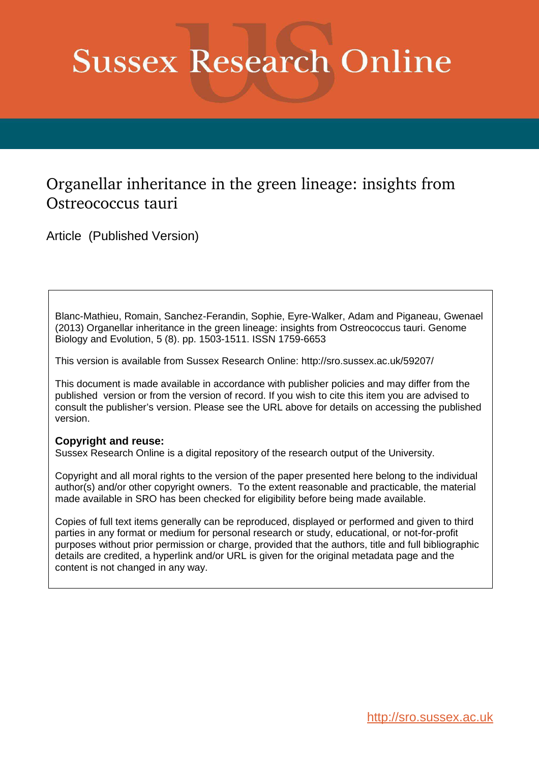# **Sussex Research Online**

## Organellar inheritance in the green lineage: insights from Ostreococcus tauri

Article (Published Version)

Blanc-Mathieu, Romain, Sanchez-Ferandin, Sophie, Eyre-Walker, Adam and Piganeau, Gwenael (2013) Organellar inheritance in the green lineage: insights from Ostreococcus tauri. Genome Biology and Evolution, 5 (8). pp. 1503-1511. ISSN 1759-6653

This version is available from Sussex Research Online: http://sro.sussex.ac.uk/59207/

This document is made available in accordance with publisher policies and may differ from the published version or from the version of record. If you wish to cite this item you are advised to consult the publisher's version. Please see the URL above for details on accessing the published version.

## **Copyright and reuse:**

Sussex Research Online is a digital repository of the research output of the University.

Copyright and all moral rights to the version of the paper presented here belong to the individual author(s) and/or other copyright owners. To the extent reasonable and practicable, the material made available in SRO has been checked for eligibility before being made available.

Copies of full text items generally can be reproduced, displayed or performed and given to third parties in any format or medium for personal research or study, educational, or not-for-profit purposes without prior permission or charge, provided that the authors, title and full bibliographic details are credited, a hyperlink and/or URL is given for the original metadata page and the content is not changed in any way.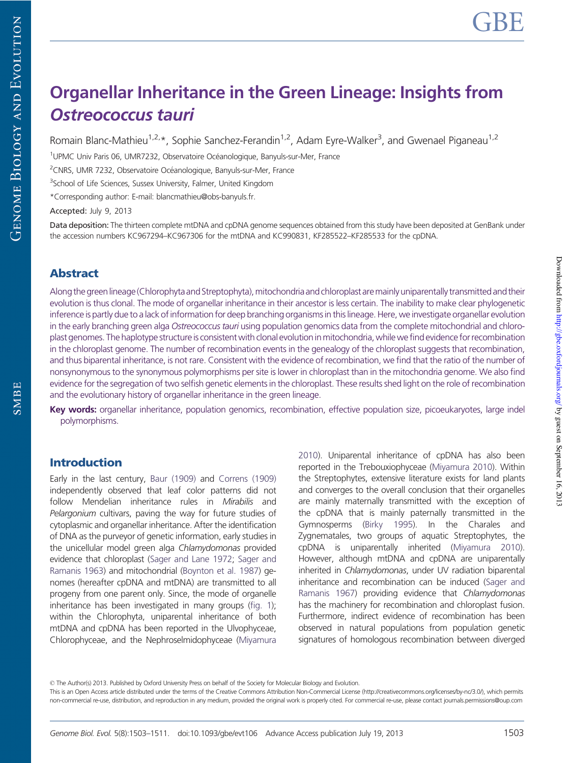# Organellar Inheritance in the Green Lineage: Insights from Ostreococcus tauri

Romain Blanc-Mathieu<sup>1,2,\*</sup>, Sophie Sanchez-Ferandin<sup>1,2</sup>, Adam Eyre-Walker<sup>3</sup>, and Gwenael Piganeau<sup>1,2</sup>

<sup>1</sup>UPMC Univ Paris 06, UMR7232, Observatoire Océanologique, Banyuls-sur-Mer, France

<sup>2</sup>CNRS, UMR 7232, Observatoire Océanologique, Banyuls-sur-Mer, France

<sup>3</sup>School of Life Sciences, Sussex University, Falmer, United Kingdom

\*Corresponding author: E-mail: blancmathieu@obs-banyuls.fr.

Accepted: July 9, 2013

Data deposition: The thirteen complete mtDNA and cpDNA genome sequences obtained from this study have been deposited at GenBank under the accession numbers KC967294–KC967306 for the mtDNA and KC990831, KF285522–KF285533 for the cpDNA.

## Abstract

Along the green lineage (Chlorophyta and Streptophyta), mitochondria and chloroplast are mainly uniparentally transmitted and their evolution is thus clonal. The mode of organellar inheritance in their ancestor is less certain. The inability to make clear phylogenetic inference is partly due to a lack of information for deep branching organisms in this lineage. Here, we investigate organellar evolution in the early branching green alga *Ostreococcus tauri* using population genomics data from the complete mitochondrial and chloroplast genomes. The haplotype structure is consistent with clonal evolution in mitochondria, while we find evidence for recombination in the chloroplast genome. The number of recombination events in the genealogy of the chloroplast suggests that recombination, and thus biparental inheritance, is not rare. Consistent with the evidence of recombination, we find that the ratio of the number of nonsynonymous to the synonymous polymorphisms per site is lower in chloroplast than in the mitochondria genome. We also find evidence for the segregation of two selfish genetic elements in the chloroplast. These results shed light on the role of recombination and the evolutionary history of organellar inheritance in the green lineage.

Key words: organellar inheritance, population genomics, recombination, effective population size, picoeukaryotes, large indel polymorphisms.

## Introduction

Early in the last century, [Baur \(1909\)](#page-7-0) and [Correns \(1909\)](#page-7-0) independently observed that leaf color patterns did not follow Mendelian inheritance rules in *Mirabilis* and *Pelargonium* cultivars, paving the way for future studies of cytoplasmic and organellar inheritance. After the identification of DNA as the purveyor of genetic information, early studies in the unicellular model green alga *Chlamydomonas* provided evidence that chloroplast [\(Sager and Lane 1972](#page-8-0); [Sager and](#page-8-0) [Ramanis 1963](#page-8-0)) and mitochondrial [\(Boynton et al. 1987\)](#page-7-0) genomes (hereafter cpDNA and mtDNA) are transmitted to all progeny from one parent only. Since, the mode of organelle inheritance has been investigated in many groups [\(fig. 1](#page-1-0)); within the Chlorophyta, uniparental inheritance of both mtDNA and cpDNA has been reported in the Ulvophyceae, Chlorophyceae, and the Nephroselmidophyceae [\(Miyamura](#page-8-0)

[2010](#page-8-0)). Uniparental inheritance of cpDNA has also been reported in the Trebouxiophyceae [\(Miyamura 2010\)](#page-8-0). Within the Streptophytes, extensive literature exists for land plants and converges to the overall conclusion that their organelles are mainly maternally transmitted with the exception of the cpDNA that is mainly paternally transmitted in the Gymnosperms [\(Birky 1995](#page-7-0)). In the Charales and Zygnematales, two groups of aquatic Streptophytes, the cpDNA is uniparentally inherited [\(Miyamura 2010\)](#page-8-0). However, although mtDNA and cpDNA are uniparentally inherited in *Chlamydomonas*, under UV radiation biparental inheritance and recombination can be induced [\(Sager and](#page-8-0) [Ramanis 1967\)](#page-8-0) providing evidence that *Chlamydomonas* has the machinery for recombination and chloroplast fusion. Furthermore, indirect evidence of recombination has been observed in natural populations from population genetic signatures of homologous recombination between diverged

! The Author(s) 2013. Published by Oxford University Press on behalf of the Society for Molecular Biology and Evolution.

<span id="page-1-0"></span>This is an Open Access article distributed under the terms of the Creative Commons Attribution Non-Commercial License (http://creativecommons.org/licenses/by-nc/3.0/), which permits non-commercial re-use, distribution, and reproduction in any medium, provided the original work is properly cited. For commercial re-use, please contact journals.permissions@oup.com

**GENOME BIOLOGY AND EVOLUTION**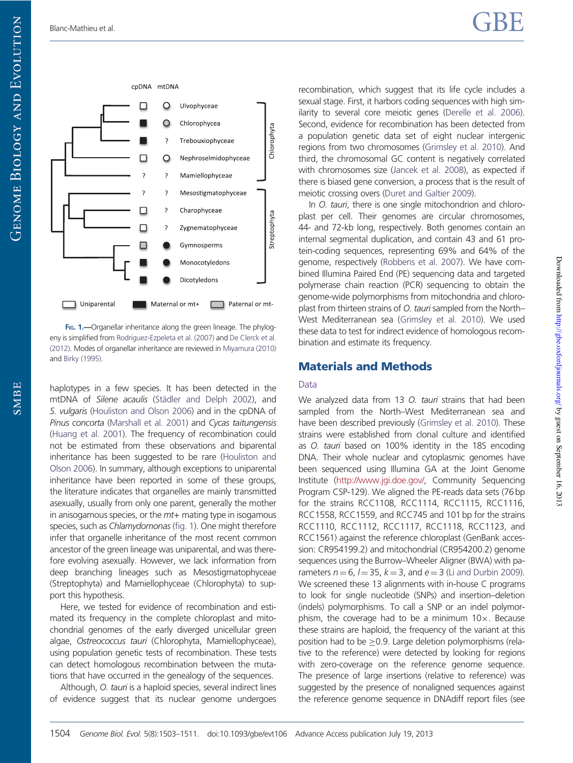$Down$  loaded from <http://gbe.oxfordjournals.org/> Dy guest on September 16, 2013

Downloaded from http://gbe.oxfordjournals.org/ by guest on September 16, 2013



Fig. 1.—Organellar inheritance along the green lineage. The phylog-eny is simplified from Rodríguez-Ezpeleta et al. (2007) and [De Clerck et al.](#page-8-0) [\(2012\).](#page-8-0) Modes of organellar inheritance are reviewed in [Miyamura \(2010\)](#page-8-0) and [Birky \(1995\).](#page-7-0)

haplotypes in a few species. It has been detected in the mtDNA of *Silene acaulis* (Städler and Delph 2002), and *S. vulgaris* [\(Houliston and Olson 2006](#page-8-0)) and in the cpDNA of *Pinus concorta* [\(Marshall et al. 2001](#page-8-0)) and *Cycas taitungensis* [\(Huang et al. 2001](#page-8-0)). The frequency of recombination could not be estimated from these observations and biparental inheritance has been suggested to be rare ([Houliston and](#page-8-0) [Olson 2006](#page-8-0)). In summary, although exceptions to uniparental inheritance have been reported in some of these groups, the literature indicates that organelles are mainly transmitted asexually, usually from only one parent, generally the mother in anisogamous species, or the *mt*+ mating type in isogamous species, such as *Chlamydomonas* [\(fig. 1\)](#page-1-0). One might therefore infer that organelle inheritance of the most recent common ancestor of the green lineage was uniparental, and was therefore evolving asexually. However, we lack information from deep branching lineages such as Mesostigmatophyceae (Streptophyta) and Mamiellophyceae (Chlorophyta) to support this hypothesis.

Here, we tested for evidence of recombination and estimated its frequency in the complete chloroplast and mitochondrial genomes of the early diverged unicellular green algae, *Ostreococcus tauri* (Chlorophyta, Mamiellophyceae), using population genetic tests of recombination. These tests can detect homologous recombination between the mutations that have occurred in the genealogy of the sequences.

Although, *O. tauri* is a haploid species, several indirect lines of evidence suggest that its nuclear genome undergoes recombination, which suggest that its life cycle includes a sexual stage. First, it harbors coding sequences with high similarity to several core meiotic genes [\(Derelle et al. 2006\)](#page-8-0). Second, evidence for recombination has been detected from a population genetic data set of eight nuclear intergenic regions from two chromosomes ([Grimsley et al. 2010](#page-8-0)). And third, the chromosomal GC content is negatively correlated with chromosomes size [\(Jancek et al. 2008](#page-8-0)), as expected if there is biased gene conversion, a process that is the result of meiotic crossing overs [\(Duret and Galtier 2009](#page-8-0)).

In *O. tauri*, there is one single mitochondrion and chloroplast per cell. Their genomes are circular chromosomes, 44- and 72-kb long, respectively. Both genomes contain an internal segmental duplication, and contain 43 and 61 protein-coding sequences, representing 69% and 64% of the genome, respectively [\(Robbens et al. 2007\)](#page-8-0). We have combined Illumina Paired End (PE) sequencing data and targeted polymerase chain reaction (PCR) sequencing to obtain the genome-wide polymorphisms from mitochondria and chloroplast from thirteen strains of *O. tauri* sampled from the North– West Mediterranean sea [\(Grimsley et al. 2010\)](#page-8-0). We used these data to test for indirect evidence of homologous recombination and estimate its frequency.

## Materials and Methods

#### Data

We analyzed data from 13 *O. tauri* strains that had been sampled from the North–West Mediterranean sea and have been described previously ([Grimsley et al. 2010\)](#page-8-0). These strains were established from clonal culture and identified as *O. tauri* based on 100% identity in the 18S encoding DNA. Their whole nuclear and cytoplasmic genomes have been sequenced using Illumina GA at the Joint Genome Institute ([http://www.jgi.doe.gov/,](http://www.jgi.doe.gov/) Community Sequencing Program CSP-129). We aligned the PE-reads data sets (76 bp for the strains RCC1108, RCC1114, RCC1115, RCC1116, RCC1558, RCC1559, and RCC745 and 101 bp for the strains RCC1110, RCC1112, RCC1117, RCC1118, RCC1123, and RCC1561) against the reference chloroplast (GenBank accession: CR954199.2) and mitochondrial (CR954200.2) genome sequences using the Burrow–Wheeler Aligner (BWA) with parameters  $n = 6$ ,  $l = 35$ ,  $k = 3$ , and  $e = 3$  ([Li and Durbin 2009\)](#page-8-0). We screened these 13 alignments with in-house C programs to look for single nucleotide (SNPs) and insertion–deletion (indels) polymorphisms. To call a SNP or an indel polymorphism, the coverage had to be a minimum  $10 \times$ . Because these strains are haploid, the frequency of the variant at this position had to be  $\geq$ 0.9. Large deletion polymorphisms (relative to the reference) were detected by looking for regions with zero-coverage on the reference genome sequence. The presence of large insertions (relative to reference) was suggested by the presence of nonaligned sequences against the reference genome sequence in DNAdiff report files (see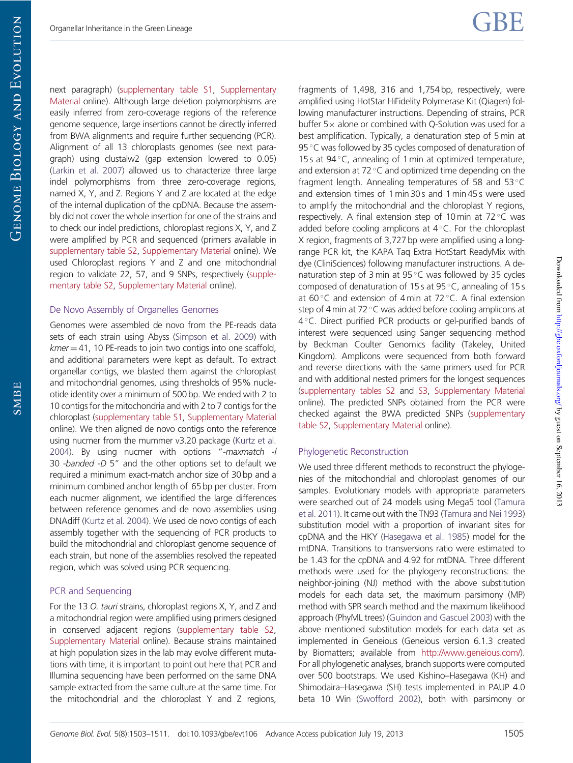next paragraph) [\(supplementary table S1](http://gbe.oxfordjournals.org/lookup/suppl/doi:10.1093/gbe/evt106/-/DC1), [Supplementary](http://gbe.oxfordjournals.org/lookup/suppl/doi:10.1093/gbe/evt106/-/DC1) [Material](http://gbe.oxfordjournals.org/lookup/suppl/doi:10.1093/gbe/evt106/-/DC1) online). Although large deletion polymorphisms are easily inferred from zero-coverage regions of the reference genome sequence, large insertions cannot be directly inferred from BWA alignments and require further sequencing (PCR). Alignment of all 13 chloroplasts genomes (see next paragraph) using clustalw2 (gap extension lowered to 0.05) [\(Larkin et al. 2007\)](#page-8-0) allowed us to characterize three large indel polymorphisms from three zero-coverage regions, named X, Y, and Z. Regions Y and Z are located at the edge of the internal duplication of the cpDNA. Because the assembly did not cover the whole insertion for one of the strains and to check our indel predictions, chloroplast regions X, Y, and Z were amplified by PCR and sequenced (primers available in [supplementary table S2,](http://gbe.oxfordjournals.org/lookup/suppl/doi:10.1093/gbe/evt106/-/DC1) [Supplementary Material](http://gbe.oxfordjournals.org/lookup/suppl/doi:10.1093/gbe/evt106/-/DC1) online). We used Chloroplast regions Y and Z and one mitochondrial region to validate 22, 57, and 9 SNPs, respectively [\(supple](http://gbe.oxfordjournals.org/lookup/suppl/doi:10.1093/gbe/evt106/-/DC1)[mentary table S2,](http://gbe.oxfordjournals.org/lookup/suppl/doi:10.1093/gbe/evt106/-/DC1) [Supplementary Material](http://gbe.oxfordjournals.org/lookup/suppl/doi:10.1093/gbe/evt106/-/DC1) online).

#### De Novo Assembly of Organelles Genomes

Genomes were assembled de novo from the PE-reads data sets of each strain using Abyss [\(Simpson et al. 2009\)](#page-8-0) with *kmer* = 41, 10 PE-reads to join two contigs into one scaffold, and additional parameters were kept as default. To extract organellar contigs, we blasted them against the chloroplast and mitochondrial genomes, using thresholds of 95% nucleotide identity over a minimum of 500 bp. We ended with 2 to 10 contigs for the mitochondria and with 2 to 7 contigs for the chloroplast [\(supplementary table S1,](http://gbe.oxfordjournals.org/lookup/suppl/doi:10.1093/gbe/evt106/-/DC1) [Supplementary Material](http://gbe.oxfordjournals.org/lookup/suppl/doi:10.1093/gbe/evt106/-/DC1) online). We then aligned de novo contigs onto the reference using nucmer from the mummer v3.20 package ([Kurtz et al.](#page-8-0) [2004\)](#page-8-0). By using nucmer with options "-*maxmatch* -*l* 30 -*banded* -*D* 5" and the other options set to default we required a minimum exact-match anchor size of 30 bp and a minimum combined anchor length of 65 bp per cluster. From each nucmer alignment, we identified the large differences between reference genomes and de novo assemblies using DNAdiff ([Kurtz et al. 2004](#page-8-0)). We used de novo contigs of each assembly together with the sequencing of PCR products to build the mitochondrial and chloroplast genome sequence of each strain, but none of the assemblies resolved the repeated region, which was solved using PCR sequencing.

#### PCR and Sequencing

<span id="page-3-0"></span>For the 13 *O. tauri* strains, chloroplast regions X, Y, and Z and a mitochondrial region were amplified using primers designed in conserved adjacent regions [\(supplementary table S2,](http://gbe.oxfordjournals.org/lookup/suppl/doi:10.1093/gbe/evt106/-/DC1) [Supplementary Material](http://gbe.oxfordjournals.org/lookup/suppl/doi:10.1093/gbe/evt106/-/DC1) online). Because strains maintained at high population sizes in the lab may evolve different mutations with time, it is important to point out here that PCR and Illumina sequencing have been performed on the same DNA sample extracted from the same culture at the same time. For the mitochondrial and the chloroplast Y and Z regions, fragments of 1,498, 316 and 1,754 bp, respectively, were amplified using HotStar HiFidelity Polymerase Kit (Qiagen) following manufacturer instructions. Depending of strains, PCR buffer  $5 \times$  alone or combined with Q-Solution was used for a best amplification. Typically, a denaturation step of 5 min at 95 $\degree$ C was followed by 35 cycles composed of denaturation of 15 s at  $94^{\circ}$ C, annealing of 1 min at optimized temperature, and extension at 72 $\degree$ C and optimized time depending on the fragment length. Annealing temperatures of 58 and 53 $\degree$ C and extension times of 1 min 30 s and 1 min 45 s were used to amplify the mitochondrial and the chloroplast Y regions, respectively. A final extension step of 10 min at 72 $\degree$ C was added before cooling amplicons at  $4^{\circ}$ C. For the chloroplast X region, fragments of 3,727 bp were amplified using a longrange PCR kit, the KAPA Taq Extra HotStart ReadyMix with dye (CliniSciences) following manufacturer instructions. A denaturation step of 3 min at  $95^{\circ}$ C was followed by 35 cycles composed of denaturation of 15 s at 95 $\degree$ C, annealing of 15 s at 60 $\degree$ C and extension of 4 min at 72 $\degree$ C. A final extension step of 4 min at 72 $\degree$ C was added before cooling amplicons at 4°C. Direct purified PCR products or gel-purified bands of interest were sequenced using Sanger sequencing method by Beckman Coulter Genomics facility (Takeley, United Kingdom). Amplicons were sequenced from both forward and reverse directions with the same primers used for PCR and with additional nested primers for the longest sequences ([supplementary tables S2](http://gbe.oxfordjournals.org/lookup/suppl/doi:10.1093/gbe/evt106/-/DC1) and [S3,](http://gbe.oxfordjournals.org/lookup/suppl/doi:10.1093/gbe/evt106/-/DC1) [Supplementary Material](http://gbe.oxfordjournals.org/lookup/suppl/doi:10.1093/gbe/evt106/-/DC1) online). The predicted SNPs obtained from the PCR were checked against the BWA predicted SNPs [\(supplementary](http://gbe.oxfordjournals.org/lookup/suppl/doi:10.1093/gbe/evt106/-/DC1) [table S2,](http://gbe.oxfordjournals.org/lookup/suppl/doi:10.1093/gbe/evt106/-/DC1) [Supplementary Material](http://gbe.oxfordjournals.org/lookup/suppl/doi:10.1093/gbe/evt106/-/DC1) online).

#### Phylogenetic Reconstruction

We used three different methods to reconstruct the phylogenies of the mitochondrial and chloroplast genomes of our samples. Evolutionary models with appropriate parameters were searched out of 24 models using Mega5 tool [\(Tamura](#page-8-0) [et al. 2011\)](#page-8-0). It came out with the TN93 [\(Tamura and Nei 1993](#page-8-0)) substitution model with a proportion of invariant sites for cpDNA and the HKY [\(Hasegawa et al. 1985](#page-8-0)) model for the mtDNA. Transitions to transversions ratio were estimated to be 1.43 for the cpDNA and 4.92 for mtDNA. Three different methods were used for the phylogeny reconstructions: the neighbor-joining (NJ) method with the above substitution models for each data set, the maximum parsimony (MP) method with SPR search method and the maximum likelihood approach (PhyML trees) ([Guindon and Gascuel 2003](#page-8-0)) with the above mentioned substitution models for each data set as implemented in Geneious (Geneious version 6.1.3 created by Biomatters; available from [http://www.geneious.com/\)](http://www.geneious.com/). For all phylogenetic analyses, branch supports were computed over 500 bootstraps. We used Kishino–Hasegawa (KH) and Shimodaira–Hasegawa (SH) tests implemented in PAUP 4.0 beta 10 Win [\(Swofford 2002\)](#page-8-0), both with parsimony or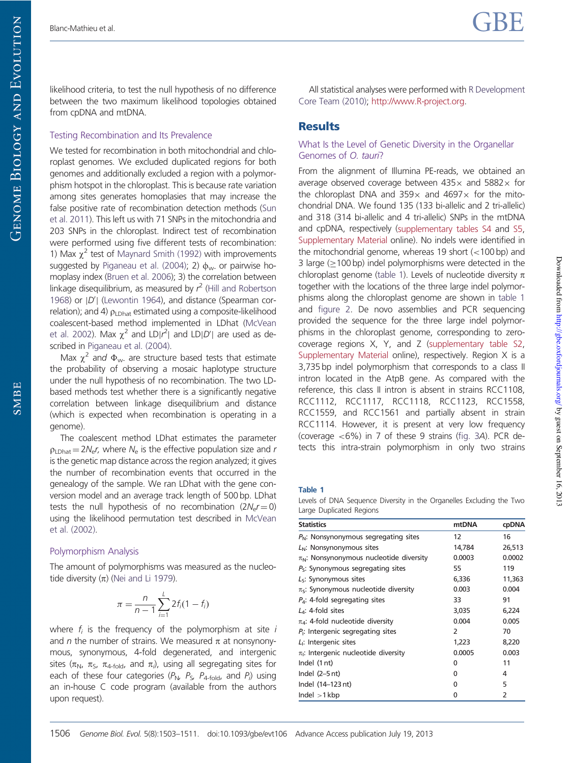likelihood criteria, to test the null hypothesis of no difference between the two maximum likelihood topologies obtained from cpDNA and mtDNA.

#### Testing Recombination and Its Prevalence

We tested for recombination in both mitochondrial and chloroplast genomes. We excluded duplicated regions for both genomes and additionally excluded a region with a polymorphism hotspot in the chloroplast. This is because rate variation among sites generates homoplasies that may increase the false positive rate of recombination detection methods ([Sun](#page-8-0) [et al. 2011\)](#page-8-0). This left us with 71 SNPs in the mitochondria and 203 SNPs in the chloroplast. Indirect test of recombination were performed using five different tests of recombination: 1) Max  $\chi^2$  test of [Maynard Smith \(1992\)](#page-8-0) with improvements suggested by [Piganeau et al. \(2004\);](#page-8-0) 2)  $\phi_{w}$  or pairwise homoplasy index [\(Bruen et al. 2006\)](#page-7-0); 3) the correlation between linkage disequilibrium, as measured by *r* 2 [\(Hill and Robertson](#page-8-0) [1968\)](#page-8-0) or  $|D'|$  [\(Lewontin 1964](#page-8-0)), and distance (Spearman correlation); and 4)  $\rho_{LDhat}$  estimated using a composite-likelihood coalescent-based method implemented in LDhat [\(McVean](#page-8-0) [et al. 2002](#page-8-0)). Max  $\chi^2$  and LD| $r^2$ | and LD| $D'$ | are used as described in [Piganeau et al. \(2004\)](#page-8-0).

Max  $\chi^2$  and  $\Phi_{\text{w-}}$  are structure based tests that estimate the probability of observing a mosaic haplotype structure under the null hypothesis of no recombination. The two LDbased methods test whether there is a significantly negative correlation between linkage disequilibrium and distance (which is expected when recombination is operating in a genome).

The coalescent method LDhat estimates the parameter  $\rho_{\text{LDhat}} = 2N_{\text{e}}$ *r*, where  $N_{\text{e}}$  is the effective population size and *r* is the genetic map distance across the region analyzed; it gives the number of recombination events that occurred in the genealogy of the sample. We ran LDhat with the gene conversion model and an average track length of 500 bp. LDhat tests the null hypothesis of no recombination  $(2N_{\rm e}r\!=\!0)$ using the likelihood permutation test described in [McVean](#page-8-0) [et al. \(2002\).](#page-8-0)

#### Polymorphism Analysis

The amount of polymorphisms was measured as the nucleotide diversity  $(\pi)$  [\(Nei and Li 1979\)](#page-8-0).

$$
\pi = \frac{n}{n-1} \sum_{i=1}^{L} 2f_i(1 - f_i)
$$

<span id="page-4-0"></span>where *f<sup>i</sup>* is the frequency of the polymorphism at site *i* and *n* the number of strains. We measured  $\pi$  at nonsynonymous, synonymous, 4-fold degenerated, and intergenic sites ( $\pi_\mathsf{N}$ ,  $\pi_\mathsf{S}$ ,  $\pi_\mathsf{4\text{-}fold}$ , and  $\pi_\mathsf{i}\rangle$ , using all segregating sites for each of these four categories ( $P_{\rm N}$ ,  $P_{\rm S}$ ,  $P_{\rm 4-fold}$ , and  $P_{\rm i}$ ) using an in-house C code program (available from the authors upon request).

All statistical analyses were performed with [R Development](#page-8-0) [Core Team \(2010\);](#page-8-0) [http://www.R-project.org.](http://www.R-project.org)

#### **Results**

#### What Is the Level of Genetic Diversity in the Organellar Genomes of *O. tauri*?

From the alignment of Illumina PE-reads, we obtained an average observed coverage between  $435\times$  and  $5882\times$  for the chloroplast DNA and  $359\times$  and  $4697\times$  for the mitochondrial DNA. We found 135 (133 bi-allelic and 2 tri-allelic) and 318 (314 bi-allelic and 4 tri-allelic) SNPs in the mtDNA and cpDNA, respectively ([supplementary tables S4](http://gbe.oxfordjournals.org/lookup/suppl/doi:10.1093/gbe/evt106/-/DC1) and [S5](http://gbe.oxfordjournals.org/lookup/suppl/doi:10.1093/gbe/evt106/-/DC1), [Supplementary Material](http://gbe.oxfordjournals.org/lookup/suppl/doi:10.1093/gbe/evt106/-/DC1) online). No indels were identified in the mitochondrial genome, whereas 19 short (<100 bp) and 3 large  $(>100$  bp) indel polymorphisms were detected in the chloroplast genome [\(table 1](#page-3-0)). Levels of nucleotide diversity  $\pi$ together with the locations of the three large indel polymorphisms along the chloroplast genome are shown in [table 1](#page-3-0) and [figure 2](#page-4-0). De novo assemblies and PCR sequencing provided the sequence for the three large indel polymorphisms in the chloroplast genome, corresponding to zerocoverage regions X, Y, and Z [\(supplementary table S2](http://gbe.oxfordjournals.org/lookup/suppl/doi:10.1093/gbe/evt106/-/DC1), [Supplementary Material](http://gbe.oxfordjournals.org/lookup/suppl/doi:10.1093/gbe/evt106/-/DC1) online), respectively. Region X is a 3,735 bp indel polymorphism that corresponds to a class II intron located in the AtpB gene. As compared with the reference, this class II intron is absent in strains RCC1108, RCC1112, RCC1117, RCC1118, RCC1123, RCC1558, RCC1559, and RCC1561 and partially absent in strain RCC1114. However, it is present at very low frequency (coverage <6%) in 7 of these 9 strains ([fig. 3](#page-4-0)*A*). PCR detects this intra-strain polymorphism in only two strains

#### Table 1

Levels of DNA Sequence Diversity in the Organelles Excluding the Two Large Duplicated Regions

| <b>Statistics</b>                                    | mtDNA  | cpDNA          |
|------------------------------------------------------|--------|----------------|
| $P_N$ : Nonsynonymous segregating sites              | 12     | 16             |
| $L_N$ : Nonsynonymous sites                          | 14,784 | 26,513         |
| $\pi_N$ : Nonsynonymous nucleotide diversity         | 0.0003 | 0.0002         |
| $P5$ : Synonymous segregating sites                  | 55     | 119            |
| $LS$ : Synonymous sites                              | 6,336  | 11,363         |
| $\pi_{\mathsf{S}}$ : Synonymous nucleotide diversity | 0.003  | 0.004          |
| $P_4$ : 4-fold segregating sites                     | 33     | 91             |
| $LA$ : 4-fold sites                                  | 3,035  | 6,224          |
| $\pi_{4}$ : 4-fold nucleotide diversity              | 0.004  | 0.005          |
| $P_1$ : Intergenic segregating sites                 | 2      | 70             |
| $Li$ : Intergenic sites                              | 1,223  | 8,220          |
| $\pi_1$ : Intergenic nucleotide diversity            | 0.0005 | 0.003          |
| Indel (1 nt)                                         | 0      | 11             |
| Indel $(2-5$ nt)                                     | ŋ      | 4              |
| Indel (14-123 nt)                                    | 0      | 5              |
| Indel > 1 kbp                                        | 0      | $\overline{2}$ |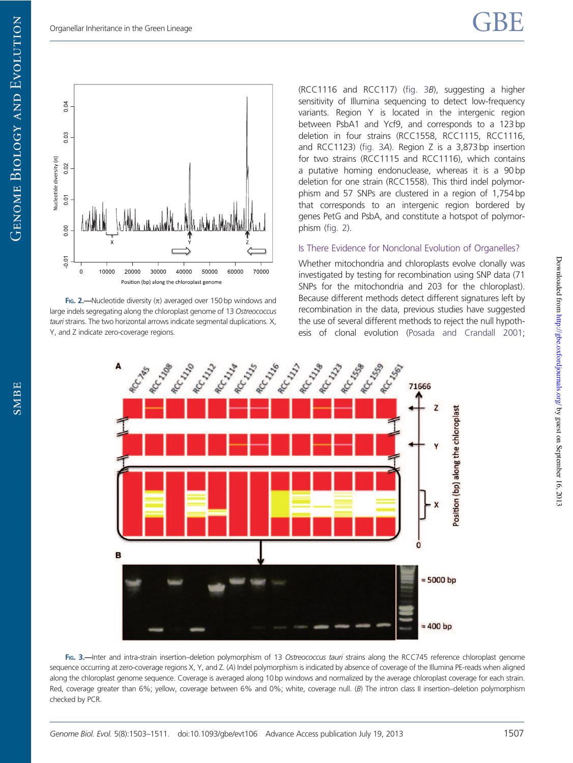

FIG. 2.—Nucleotide diversity  $(n)$  averaged over 150 bp windows and large indels segregating along the chloroplast genome of 13 *Ostreococcus tauri* strains. The two horizontal arrows indicate segmental duplications. X, Y, and Z indicate zero-coverage regions.

(RCC1116 and RCC117) ([fig. 3](#page-4-0)*B*), suggesting a higher sensitivity of Illumina sequencing to detect low-frequency variants. Region Y is located in the intergenic region between PsbA1 and Ycf9, and corresponds to a 123 bp deletion in four strains (RCC1558, RCC1115, RCC1116, and RCC1123) ([fig. 3](#page-4-0)*A*). Region Z is a 3,873 bp insertion for two strains (RCC1115 and RCC1116), which contains a putative homing endonuclease, whereas it is a 90 bp deletion for one strain (RCC1558). This third indel polymorphism and 57 SNPs are clustered in a region of 1,754 bp that corresponds to an intergenic region bordered by genes PetG and PsbA, and constitute a hotspot of polymorphism ([fig. 2\)](#page-4-0).

#### Is There Evidence for Nonclonal Evolution of Organelles?

Whether mitochondria and chloroplasts evolve clonally was investigated by testing for recombination using SNP data (71 SNPs for the mitochondria and 203 for the chloroplast). Because different methods detect different signatures left by recombination in the data, previous studies have suggested the use of several different methods to reject the null hypothesis of clonal evolution [\(Posada and Crandall 2001](#page-8-0);



<span id="page-5-0"></span>FIG. 3.—Inter and intra-strain insertion–deletion polymorphism of 13 *Ostreococcus tauri* strains along the RCC745 reference chloroplast genome sequence occurring at zero-coverage regions X, Y, and Z. (*A*) Indel polymorphism is indicated by absence of coverage of the Illumina PE-reads when aligned along the chloroplast genome sequence. Coverage is averaged along 10 bp windows and normalized by the average chloroplast coverage for each strain. Red, coverage greater than 6%; yellow, coverage between 6% and 0%; white, coverage null. (*B*) The intron class II insertion–deletion polymorphism checked by PCR.

SMBE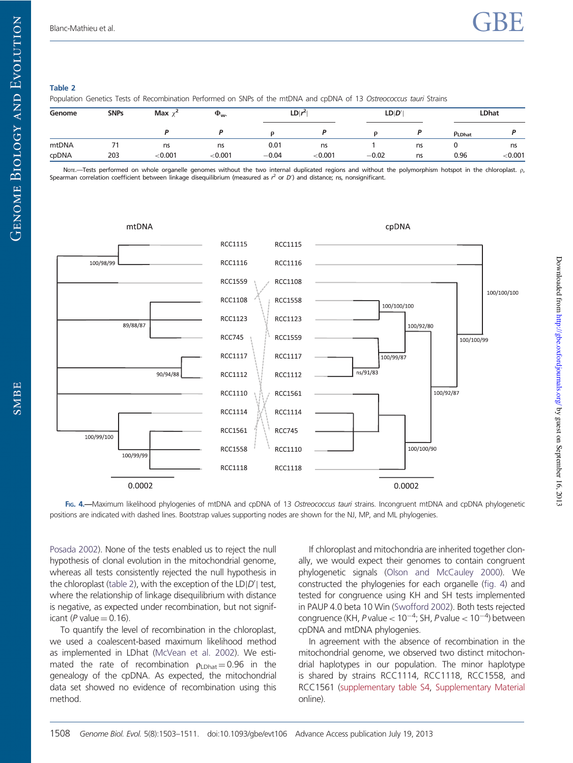$Down$  loaded from <http://gbe.oxfordjournals.org/> Dy guest on September 16, 2013

Downloaded from http://gbe.oxfordjournals.org/ by guest on September 16, 2013

#### Table 2

Population Genetics Tests of Recombination Performed on SNPs of the mtDNA and cpDNA of 13 *Ostreococcus tauri* Strains

| Genome | <b>SNPs</b>              | Max $\chi^2$ | $\Phi_{\mathsf{w}}$ | $LD/r^2$ |         | LD D'   |    | <b>LDhat</b> |         |
|--------|--------------------------|--------------|---------------------|----------|---------|---------|----|--------------|---------|
|        |                          |              |                     |          |         |         |    | PLDhat       |         |
| mtDNA  | $\overline{\phantom{a}}$ | ns           | ns                  | 0.01     | ns      |         | ns | <b>.</b>     | ns      |
| cpDNA  | 203                      | < 0.001      | < 0.001             | $-0.04$  | < 0.001 | $-0.02$ | ns | 0.96         | < 0.001 |

Nore.—Tests performed on whole organelle genomes without the two internal duplicated regions and without the polymorphism hotspot in the chloroplast. p, Spearman correlation coefficient between linkage disequilibrium (measured as  $r^2$  or D') and distance; ns, nonsignificant.



FIG. 4.—Maximum likelihood phylogenies of mtDNA and cpDNA of 13 *Ostreococcus tauri* strains. Incongruent mtDNA and cpDNA phylogenetic positions are indicated with dashed lines. Bootstrap values supporting nodes are shown for the NJ, MP, and ML phylogenies.

[Posada 2002\)](#page-8-0). None of the tests enabled us to reject the null hypothesis of clonal evolution in the mitochondrial genome, whereas all tests consistently rejected the null hypothesis in the chloroplast [\(table 2](#page-5-0)), with the exception of the LD|D'| test, where the relationship of linkage disequilibrium with distance is negative, as expected under recombination, but not significant ( $P$  value  $= 0.16$ ).

To quantify the level of recombination in the chloroplast, we used a coalescent-based maximum likelihood method as implemented in LDhat [\(McVean et al. 2002\)](#page-8-0). We estimated the rate of recombination  $\rho_{LDhat} = 0.96$  in the genealogy of the cpDNA. As expected, the mitochondrial data set showed no evidence of recombination using this method.

If chloroplast and mitochondria are inherited together clonally, we would expect their genomes to contain congruent phylogenetic signals [\(Olson and McCauley 2000\)](#page-8-0). We constructed the phylogenies for each organelle [\(fig. 4\)](#page-5-0) and tested for congruence using KH and SH tests implemented in PAUP 4.0 beta 10 Win [\(Swofford 2002](#page-8-0)). Both tests rejected congruence (KH, P value <  $10^{-4}$ ; SH, P value <  $10^{-4}$ ) between cpDNA and mtDNA phylogenies.

In agreement with the absence of recombination in the mitochondrial genome, we observed two distinct mitochondrial haplotypes in our population. The minor haplotype is shared by strains RCC1114, RCC1118, RCC1558, and RCC1561 [\(supplementary table S4,](http://gbe.oxfordjournals.org/lookup/suppl/doi:10.1093/gbe/evt106/-/DC1) [Supplementary Material](http://gbe.oxfordjournals.org/lookup/suppl/doi:10.1093/gbe/evt106/-/DC1) online).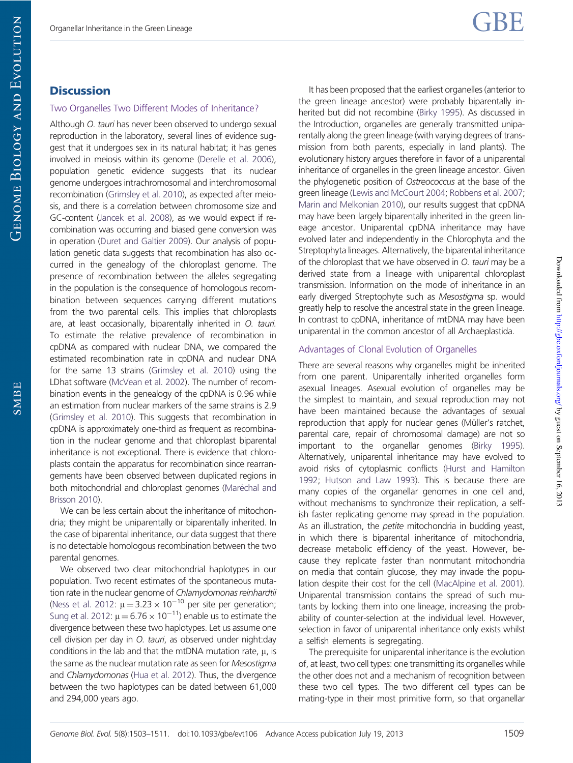#### **Discussion**

#### Two Organelles Two Different Modes of Inheritance?

Although *O. tauri* has never been observed to undergo sexual reproduction in the laboratory, several lines of evidence suggest that it undergoes sex in its natural habitat; it has genes involved in meiosis within its genome [\(Derelle et al. 2006](#page-8-0)), population genetic evidence suggests that its nuclear genome undergoes intrachromosomal and interchromosomal recombination [\(Grimsley et al. 2010](#page-8-0)), as expected after meiosis, and there is a correlation between chromosome size and GC-content [\(Jancek et al. 2008](#page-8-0)), as we would expect if recombination was occurring and biased gene conversion was in operation [\(Duret and Galtier 2009](#page-8-0)). Our analysis of population genetic data suggests that recombination has also occurred in the genealogy of the chloroplast genome. The presence of recombination between the alleles segregating in the population is the consequence of homologous recombination between sequences carrying different mutations from the two parental cells. This implies that chloroplasts are, at least occasionally, biparentally inherited in *O. tauri.* To estimate the relative prevalence of recombination in cpDNA as compared with nuclear DNA, we compared the estimated recombination rate in cpDNA and nuclear DNA for the same 13 strains [\(Grimsley et al. 2010\)](#page-8-0) using the LDhat software [\(McVean et al. 2002](#page-8-0)). The number of recombination events in the genealogy of the cpDNA is 0.96 while an estimation from nuclear markers of the same strains is 2.9 [\(Grimsley et al. 2010](#page-8-0)). This suggests that recombination in cpDNA is approximately one-third as frequent as recombination in the nuclear genome and that chloroplast biparental inheritance is not exceptional. There is evidence that chloroplasts contain the apparatus for recombination since rearrangements have been observed between duplicated regions in both mitochondrial and chloroplast genomes (Maré[chal and](#page-8-0) [Brisson 2010\)](#page-8-0).

We can be less certain about the inheritance of mitochondria; they might be uniparentally or biparentally inherited. In the case of biparental inheritance, our data suggest that there is no detectable homologous recombination between the two parental genomes.

<span id="page-7-0"></span>We observed two clear mitochondrial haplotypes in our population. Two recent estimates of the spontaneous mutation rate in the nuclear genome of *Chlamydomonas reinhardtii* [\(Ness et al. 2012:](#page-8-0)  $\mu = 3.23 \times 10^{-10}$  per site per generation; [Sung et al. 2012:](#page-8-0)  $\mu = 6.76 \times 10^{-11}$ ) enable us to estimate the divergence between these two haplotypes. Let us assume one cell division per day in *O. tauri*, as observed under night:day conditions in the lab and that the mtDNA mutation rate,  $\mu$ , is the same as the nuclear mutation rate as seen for *Mesostigma* and *Chlamydomonas* ([Hua et al. 2012](#page-8-0)). Thus, the divergence between the two haplotypes can be dated between 61,000 and 294,000 years ago.

It has been proposed that the earliest organelles (anterior to the green lineage ancestor) were probably biparentally inherited but did not recombine [\(Birky 1995\)](#page-7-0). As discussed in the Introduction, organelles are generally transmitted uniparentally along the green lineage (with varying degrees of transmission from both parents, especially in land plants). The evolutionary history argues therefore in favor of a uniparental inheritance of organelles in the green lineage ancestor. Given the phylogenetic position of *Ostreococcus* at the base of the green lineage ([Lewis and McCourt 2004;](#page-8-0) [Robbens et al. 2007;](#page-8-0) [Marin and Melkonian 2010\)](#page-8-0), our results suggest that cpDNA may have been largely biparentally inherited in the green lineage ancestor. Uniparental cpDNA inheritance may have evolved later and independently in the Chlorophyta and the Streptophyta lineages. Alternatively, the biparental inheritance of the chloroplast that we have observed in *O. tauri* may be a derived state from a lineage with uniparental chloroplast transmission. Information on the mode of inheritance in an early diverged Streptophyte such as *Mesostigma* sp. would greatly help to resolve the ancestral state in the green lineage. In contrast to cpDNA, inheritance of mtDNA may have been uniparental in the common ancestor of all Archaeplastida.

#### Advantages of Clonal Evolution of Organelles

There are several reasons why organelles might be inherited from one parent. Uniparentally inherited organelles form asexual lineages. Asexual evolution of organelles may be the simplest to maintain, and sexual reproduction may not have been maintained because the advantages of sexual reproduction that apply for nuclear genes (Müller's ratchet, parental care, repair of chromosomal damage) are not so important to the organellar genomes ([Birky 1995\)](#page-7-0). Alternatively, uniparental inheritance may have evolved to avoid risks of cytoplasmic conflicts ([Hurst and Hamilton](#page-8-0) [1992](#page-8-0); [Hutson and Law 1993\)](#page-8-0). This is because there are many copies of the organellar genomes in one cell and, without mechanisms to synchronize their replication, a selfish faster replicating genome may spread in the population. As an illustration, the *petite* mitochondria in budding yeast, in which there is biparental inheritance of mitochondria, decrease metabolic efficiency of the yeast. However, because they replicate faster than nonmutant mitochondria on media that contain glucose, they may invade the population despite their cost for the cell [\(MacAlpine et al. 2001\)](#page-8-0). Uniparental transmission contains the spread of such mutants by locking them into one lineage, increasing the probability of counter-selection at the individual level. However, selection in favor of uniparental inheritance only exists whilst a selfish elements is segregating.

The prerequisite for uniparental inheritance is the evolution of, at least, two cell types: one transmitting its organelles while the other does not and a mechanism of recognition between these two cell types. The two different cell types can be mating-type in their most primitive form, so that organellar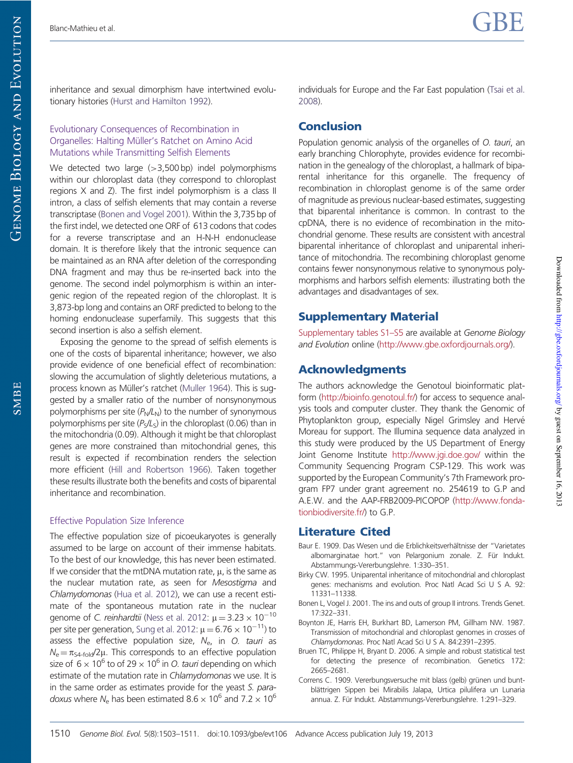inheritance and sexual dimorphism have intertwined evolutionary histories [\(Hurst and Hamilton 1992](#page-8-0)).

#### Evolutionary Consequences of Recombination in Organelles: Halting Müller's Ratchet on Amino Acid Mutations while Transmitting Selfish Elements

We detected two large  $(>3,500$  bp) indel polymorphisms within our chloroplast data (they correspond to chloroplast regions X and Z). The first indel polymorphism is a class II intron, a class of selfish elements that may contain a reverse transcriptase ([Bonen and Vogel 2001](#page-7-0)). Within the 3,735 bp of the first indel, we detected one ORF of 613 codons that codes for a reverse transcriptase and an H-N-H endonuclease domain. It is therefore likely that the intronic sequence can be maintained as an RNA after deletion of the corresponding DNA fragment and may thus be re-inserted back into the genome. The second indel polymorphism is within an intergenic region of the repeated region of the chloroplast. It is 3,873-bp long and contains an ORF predicted to belong to the homing endonuclease superfamily. This suggests that this second insertion is also a selfish element.

Exposing the genome to the spread of selfish elements is one of the costs of biparental inheritance; however, we also provide evidence of one beneficial effect of recombination: slowing the accumulation of slightly deleterious mutations, a process known as Müller's ratchet [\(Muller 1964\)](#page-8-0). This is suggested by a smaller ratio of the number of nonsynonymous polymorphisms per site ( $P_N/L_N$ ) to the number of synonymous polymorphisms per site (*P*<sup>S</sup> */L*S ) in the chloroplast (0.06) than in the mitochondria (0.09). Although it might be that chloroplast genes are more constrained than mitochondrial genes, this result is expected if recombination renders the selection more efficient [\(Hill and Robertson 1966](#page-8-0)). Taken together these results illustrate both the benefits and costs of biparental inheritance and recombination.

## Effective Population Size Inference

<span id="page-8-0"></span>The effective population size of picoeukaryotes is generally assumed to be large on account of their immense habitats. To the best of our knowledge, this has never been estimated. If we consider that the mtDNA mutation rate,  $\mu$ , is the same as the nuclear mutation rate, as seen for *Mesostigma* and *Chlamydomonas* [\(Hua et al. 2012](#page-8-0)), we can use a recent estimate of the spontaneous mutation rate in the nuclear genome of *C. reinhardtii* [\(Ness et al. 2012](#page-8-0):  $\mu = 3.23 \times 10^{-10}$ per site per generation, [Sung et al. 2012:](#page-8-0)  $\mu = 6.76 \times 10^{-11}$ ) to assess the effective population size, *N*<sup>e</sup> , in *O. tauri* as  $N_e = \pi_{S4-fold}/2\mu$ . This corresponds to an effective population size of  $6 \times 10^6$  to of 29  $\times$  10<sup>6</sup> in *O. tauri* depending on which estimate of the mutation rate in *Chlamydomonas* we use. It is in the same order as estimates provide for the yeast *S. paradoxus* where  $N_e$  has been estimated 8.6  $\times$  10<sup>6</sup> and 7.2  $\times$  10<sup>6</sup>

individuals for Europe and the Far East population [\(Tsai et al.](#page-8-0) [2008](#page-8-0)).

## **Conclusion**

Population genomic analysis of the organelles of *O. tauri*, an early branching Chlorophyte, provides evidence for recombination in the genealogy of the chloroplast, a hallmark of biparental inheritance for this organelle. The frequency of recombination in chloroplast genome is of the same order of magnitude as previous nuclear-based estimates, suggesting that biparental inheritance is common. In contrast to the cpDNA, there is no evidence of recombination in the mitochondrial genome. These results are consistent with ancestral biparental inheritance of chloroplast and uniparental inheritance of mitochondria. The recombining chloroplast genome contains fewer nonsynonymous relative to synonymous polymorphisms and harbors selfish elements: illustrating both the advantages and disadvantages of sex.

## Supplementary Material

[Supplementary tables S1–S5](http://gbe.oxfordjournals.org/lookup/suppl/doi:10.1093/gbe/evt106/-/DC1) are available at *Genome Biology and Evolution* online [\(http://www.gbe.oxfordjournals.org/\)](http://www.gbe.oxfordjournals.org/).

## Acknowledgments

The authors acknowledge the Genotoul bioinformatic platform [\(http://bioinfo.genotoul.fr/](http://bioinfo.genotoul.fr/)) for access to sequence analysis tools and computer cluster. They thank the Genomic of Phytoplankton group, especially Nigel Grimsley and Hervé Moreau for support. The Illumina sequence data analyzed in this study were produced by the US Department of Energy Joint Genome Institute <http://www.jgi.doe.gov/> within the Community Sequencing Program CSP-129. This work was supported by the European Community's 7th Framework program FP7 under grant agreement no. 254619 to G.P and A.E.W. and the AAP-FRB2009-PICOPOP [\(http://www.fonda](http://www.fondationbiodiversite.fr/)[tionbiodiversite.fr/\)](http://www.fondationbiodiversite.fr/) to G.P.

## Literature Cited

- Baur E. 1909. Das Wesen und die Erblichkeitsverhältnisse der "Varietates albomarginatae hort." von Pelargonium zonale. Z. Für Indukt. Abstammungs-Vererbungslehre. 1:330–351.
- Birky CW. 1995. Uniparental inheritance of mitochondrial and chloroplast genes: mechanisms and evolution. Proc Natl Acad Sci U S A. 92: 11331–11338.
- Bonen L, Vogel J. 2001. The ins and outs of group II introns. Trends Genet. 17:322–331.
- Boynton JE, Harris EH, Burkhart BD, Lamerson PM, Gillham NW. 1987. Transmission of mitochondrial and chloroplast genomes in crosses of *Chlamydomonas*. Proc Natl Acad Sci U S A. 84:2391–2395.
- Bruen TC, Philippe H, Bryant D. 2006. A simple and robust statistical test for detecting the presence of recombination. Genetics 172: 2665–2681.
- Correns C. 1909. Vererbungsversuche mit blass (gelb) grünen und buntblättrigen Sippen bei Mirabilis Jalapa, Urtica pilulifera un Lunaria annua. Z. Für Indukt. Abstammungs-Vererbungslehre. 1:291–329.